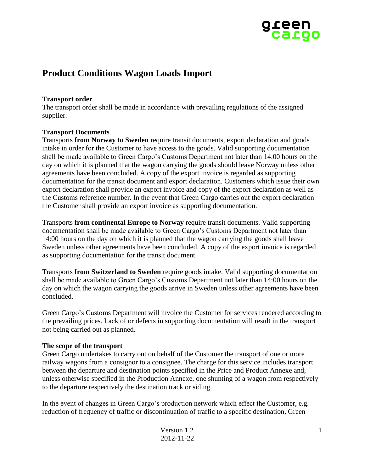

# **Product Conditions Wagon Loads Import**

#### **Transport order**

The transport order shall be made in accordance with prevailing regulations of the assigned supplier.

### **Transport Documents**

Transports **from Norway to Sweden** require transit documents, export declaration and goods intake in order for the Customer to have access to the goods. Valid supporting documentation shall be made available to Green Cargo's Customs Department not later than 14.00 hours on the day on which it is planned that the wagon carrying the goods should leave Norway unless other agreements have been concluded. A copy of the export invoice is regarded as supporting documentation for the transit document and export declaration. Customers which issue their own export declaration shall provide an export invoice and copy of the export declaration as well as the Customs reference number. In the event that Green Cargo carries out the export declaration the Customer shall provide an export invoice as supporting documentation.

Transports **from continental Europe to Norway** require transit documents. Valid supporting documentation shall be made available to Green Cargo's Customs Department not later than 14:00 hours on the day on which it is planned that the wagon carrying the goods shall leave Sweden unless other agreements have been concluded. A copy of the export invoice is regarded as supporting documentation for the transit document.

Transports **from Switzerland to Sweden** require goods intake. Valid supporting documentation shall be made available to Green Cargo's Customs Department not later than 14:00 hours on the day on which the wagon carrying the goods arrive in Sweden unless other agreements have been concluded.

Green Cargo's Customs Department will invoice the Customer for services rendered according to the prevailing prices. Lack of or defects in supporting documentation will result in the transport not being carried out as planned.

### **The scope of the transport**

Green Cargo undertakes to carry out on behalf of the Customer the transport of one or more railway wagons from a consignor to a consignee. The charge for this service includes transport between the departure and destination points specified in the Price and Product Annexe and, unless otherwise specified in the Production Annexe, one shunting of a wagon from respectively to the departure respectively the destination track or siding.

In the event of changes in Green Cargo's production network which effect the Customer, e.g. reduction of frequency of traffic or discontinuation of traffic to a specific destination, Green

| Version 1.2 |
|-------------|
| 2012-11-22  |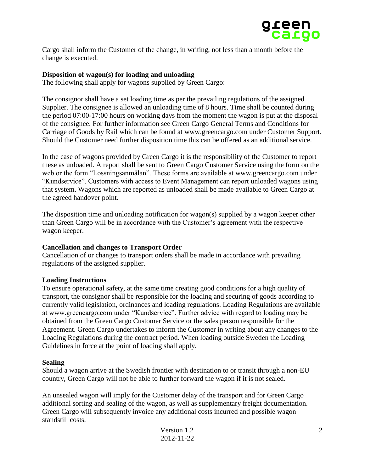

Cargo shall inform the Customer of the change, in writing, not less than a month before the change is executed.

### **Disposition of wagon(s) for loading and unloading**

The following shall apply for wagons supplied by Green Cargo:

The consignor shall have a set loading time as per the prevailing regulations of the assigned Supplier. The consignee is allowed an unloading time of 8 hours. Time shall be counted during the period 07:00-17:00 hours on working days from the moment the wagon is put at the disposal of the consignee. For further information see Green Cargo General Terms and Conditions for Carriage of Goods by Rail which can be found at www.greencargo.com under Customer Support. Should the Customer need further disposition time this can be offered as an additional service.

In the case of wagons provided by Green Cargo it is the responsibility of the Customer to report these as unloaded. A report shall be sent to Green Cargo Customer Service using the form on the web or the form "Lossningsanmälan". These forms are available at www.greencargo.com under "Kundservice". Customers with access to Event Management can report unloaded wagons using that system. Wagons which are reported as unloaded shall be made available to Green Cargo at the agreed handover point.

The disposition time and unloading notification for wagon(s) supplied by a wagon keeper other than Green Cargo will be in accordance with the Customer's agreement with the respective wagon keeper.

### **Cancellation and changes to Transport Order**

Cancellation of or changes to transport orders shall be made in accordance with prevailing regulations of the assigned supplier.

### **Loading Instructions**

To ensure operational safety, at the same time creating good conditions for a high quality of transport, the consignor shall be responsible for the loading and securing of goods according to currently valid legislation, ordinances and loading regulations. Loading Regulations are available at www.greencargo.com under "Kundservice". Further advice with regard to loading may be obtained from the Green Cargo Customer Service or the sales person responsible for the Agreement. Green Cargo undertakes to inform the Customer in writing about any changes to the Loading Regulations during the contract period. When loading outside Sweden the Loading Guidelines in force at the point of loading shall apply.

### **Sealing**

Should a wagon arrive at the Swedish frontier with destination to or transit through a non-EU country, Green Cargo will not be able to further forward the wagon if it is not sealed.

An unsealed wagon will imply for the Customer delay of the transport and for Green Cargo additional sorting and sealing of the wagon, as well as supplementary freight documentation. Green Cargo will subsequently invoice any additional costs incurred and possible wagon standstill costs.

| Version 1.2 |  |
|-------------|--|
| 2012-11-22  |  |